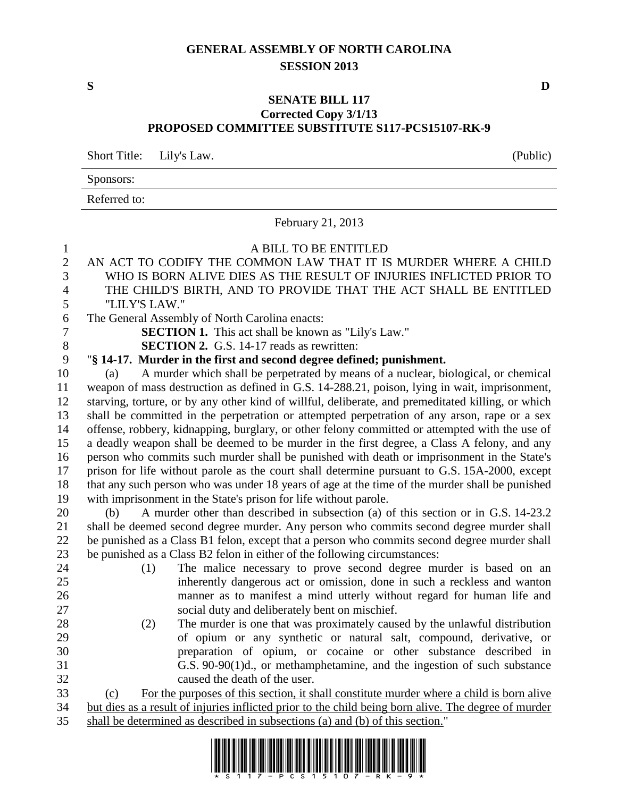## **GENERAL ASSEMBLY OF NORTH CAROLINA SESSION 2013**

## **SENATE BILL 117 Corrected Copy 3/1/13 PROPOSED COMMITTEE SUBSTITUTE S117-PCS15107-RK-9**

Short Title: Lily's Law. (Public)

Sponsors:

Referred to:

February 21, 2013 A BILL TO BE ENTITLED AN ACT TO CODIFY THE COMMON LAW THAT IT IS MURDER WHERE A CHILD WHO IS BORN ALIVE DIES AS THE RESULT OF INJURIES INFLICTED PRIOR TO THE CHILD'S BIRTH, AND TO PROVIDE THAT THE ACT SHALL BE ENTITLED "LILY'S LAW." The General Assembly of North Carolina enacts: **SECTION 1.** This act shall be known as "Lily's Law." **SECTION 2.** G.S. 14-17 reads as rewritten: "**§ 14-17. Murder in the first and second degree defined; punishment.** (a) A murder which shall be perpetrated by means of a nuclear, biological, or chemical weapon of mass destruction as defined in G.S. 14-288.21, poison, lying in wait, imprisonment, starving, torture, or by any other kind of willful, deliberate, and premeditated killing, or which shall be committed in the perpetration or attempted perpetration of any arson, rape or a sex offense, robbery, kidnapping, burglary, or other felony committed or attempted with the use of a deadly weapon shall be deemed to be murder in the first degree, a Class A felony, and any person who commits such murder shall be punished with death or imprisonment in the State's prison for life without parole as the court shall determine pursuant to G.S. 15A-2000, except that any such person who was under 18 years of age at the time of the murder shall be punished with imprisonment in the State's prison for life without parole. (b) A murder other than described in subsection (a) of this section or in G.S. 14-23.2 shall be deemed second degree murder. Any person who commits second degree murder shall be punished as a Class B1 felon, except that a person who commits second degree murder shall be punished as a Class B2 felon in either of the following circumstances: (1) The malice necessary to prove second degree murder is based on an inherently dangerous act or omission, done in such a reckless and wanton manner as to manifest a mind utterly without regard for human life and social duty and deliberately bent on mischief. (2) The murder is one that was proximately caused by the unlawful distribution of opium or any synthetic or natural salt, compound, derivative, or preparation of opium, or cocaine or other substance described in G.S. 90-90(1)d., or methamphetamine, and the ingestion of such substance caused the death of the user. (c) For the purposes of this section, it shall constitute murder where a child is born alive but dies as a result of injuries inflicted prior to the child being born alive. The degree of murder shall be determined as described in subsections (a) and (b) of this section."



**S D**